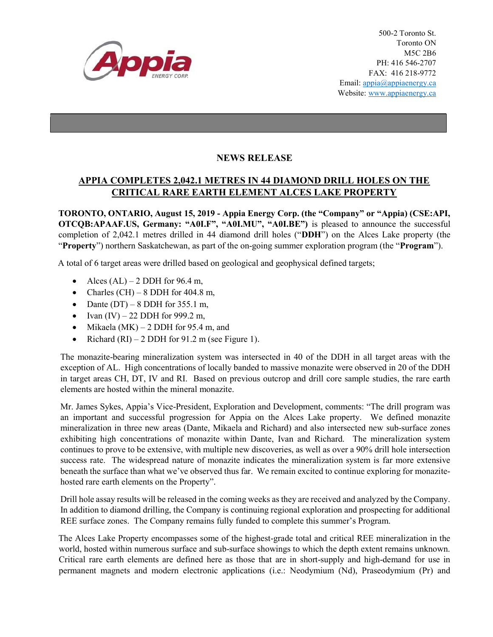

## NEWS RELEASE

## APPIA COMPLETES 2,042.1 METRES IN 44 DIAMOND DRILL HOLES ON THE CRITICAL RARE EARTH ELEMENT ALCES LAKE PROPERTY

TORONTO, ONTARIO, August 15, 2019 - Appia Energy Corp. (the "Company" or "Appia) (CSE:API, OTCQB:APAAF.US, Germany: "A0I.F", "A0I.MU", "A0I.BE") is pleased to announce the successful completion of 2,042.1 metres drilled in 44 diamond drill holes ("DDH") on the Alces Lake property (the "Property") northern Saskatchewan, as part of the on-going summer exploration program (the "Program").

A total of 6 target areas were drilled based on geological and geophysical defined targets;

- Alces  $(AL)$  2 DDH for 96.4 m,
- Charles (CH) 8 DDH for 404.8 m,
- Dante  $(DT)$  8 DDH for 355.1 m,
- Ivan  $(IV) 22$  DDH for 999.2 m,
- $\bullet$  Mikaela (MK) 2 DDH for 95.4 m, and
- Richard  $(RI) 2$  DDH for 91.2 m (see Figure 1).

The monazite-bearing mineralization system was intersected in 40 of the DDH in all target areas with the exception of AL. High concentrations of locally banded to massive monazite were observed in 20 of the DDH in target areas CH, DT, IV and RI. Based on previous outcrop and drill core sample studies, the rare earth elements are hosted within the mineral monazite.

Mr. James Sykes, Appia's Vice-President, Exploration and Development, comments: "The drill program was an important and successful progression for Appia on the Alces Lake property. We defined monazite mineralization in three new areas (Dante, Mikaela and Richard) and also intersected new sub-surface zones exhibiting high concentrations of monazite within Dante, Ivan and Richard. The mineralization system continues to prove to be extensive, with multiple new discoveries, as well as over a 90% drill hole intersection success rate. The widespread nature of monazite indicates the mineralization system is far more extensive beneath the surface than what we've observed thus far. We remain excited to continue exploring for monazitehosted rare earth elements on the Property".

Drill hole assay results will be released in the coming weeks as they are received and analyzed by the Company. In addition to diamond drilling, the Company is continuing regional exploration and prospecting for additional REE surface zones. The Company remains fully funded to complete this summer's Program.

The Alces Lake Property encompasses some of the highest-grade total and critical REE mineralization in the world, hosted within numerous surface and sub-surface showings to which the depth extent remains unknown. Critical rare earth elements are defined here as those that are in short-supply and high-demand for use in permanent magnets and modern electronic applications (i.e.: Neodymium (Nd), Praseodymium (Pr) and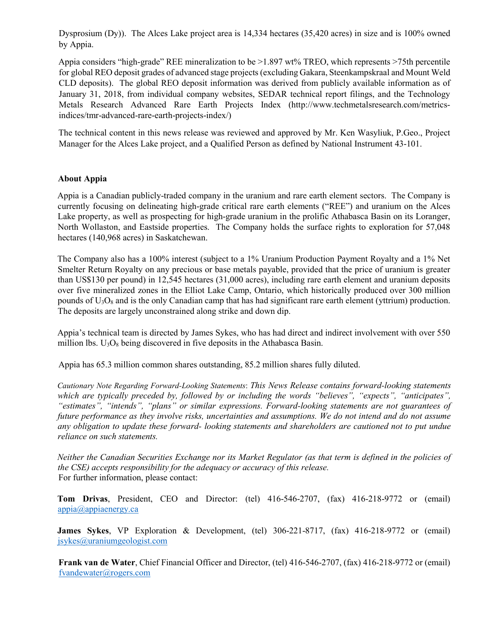Dysprosium (Dy)). The Alces Lake project area is 14,334 hectares (35,420 acres) in size and is 100% owned by Appia.

Appia considers "high-grade" REE mineralization to be >1.897 wt% TREO, which represents >75th percentile for global REO deposit grades of advanced stage projects (excluding Gakara, Steenkampskraal and Mount Weld CLD deposits). The global REO deposit information was derived from publicly available information as of January 31, 2018, from individual company websites, SEDAR technical report filings, and the Technology Metals Research Advanced Rare Earth Projects Index (http://www.techmetalsresearch.com/metricsindices/tmr-advanced-rare-earth-projects-index/)

The technical content in this news release was reviewed and approved by Mr. Ken Wasyliuk, P.Geo., Project Manager for the Alces Lake project, and a Qualified Person as defined by National Instrument 43-101.

## About Appia

Appia is a Canadian publicly-traded company in the uranium and rare earth element sectors. The Company is currently focusing on delineating high-grade critical rare earth elements ("REE") and uranium on the Alces Lake property, as well as prospecting for high-grade uranium in the prolific Athabasca Basin on its Loranger, North Wollaston, and Eastside properties. The Company holds the surface rights to exploration for 57,048 hectares (140,968 acres) in Saskatchewan.

The Company also has a 100% interest (subject to a 1% Uranium Production Payment Royalty and a 1% Net Smelter Return Royalty on any precious or base metals payable, provided that the price of uranium is greater than US\$130 per pound) in 12,545 hectares (31,000 acres), including rare earth element and uranium deposits over five mineralized zones in the Elliot Lake Camp, Ontario, which historically produced over 300 million pounds of U3O8 and is the only Canadian camp that has had significant rare earth element (yttrium) production. The deposits are largely unconstrained along strike and down dip.

Appia's technical team is directed by James Sykes, who has had direct and indirect involvement with over 550 million lbs.  $U_3O_8$  being discovered in five deposits in the Athabasca Basin.

Appia has 65.3 million common shares outstanding, 85.2 million shares fully diluted.

Cautionary Note Regarding Forward-Looking Statements: This News Release contains forward-looking statements which are typically preceded by, followed by or including the words "believes", "expects", "anticipates", "estimates", "intends", "plans" or similar expressions. Forward-looking statements are not guarantees of future performance as they involve risks, uncertainties and assumptions. We do not intend and do not assume any obligation to update these forward- looking statements and shareholders are cautioned not to put undue reliance on such statements.

Neither the Canadian Securities Exchange nor its Market Regulator (as that term is defined in the policies of the CSE) accepts responsibility for the adequacy or accuracy of this release. For further information, please contact:

Tom Drivas, President, CEO and Director: (tel) 416-546-2707, (fax) 416-218-9772 or (email) appia@appiaenergy.ca

James Sykes, VP Exploration & Development, (tel) 306-221-8717, (fax) 416-218-9772 or (email) jsykes@uraniumgeologist.com

Frank van de Water, Chief Financial Officer and Director, (tel) 416-546-2707, (fax) 416-218-9772 or (email) fvandewater@rogers.com